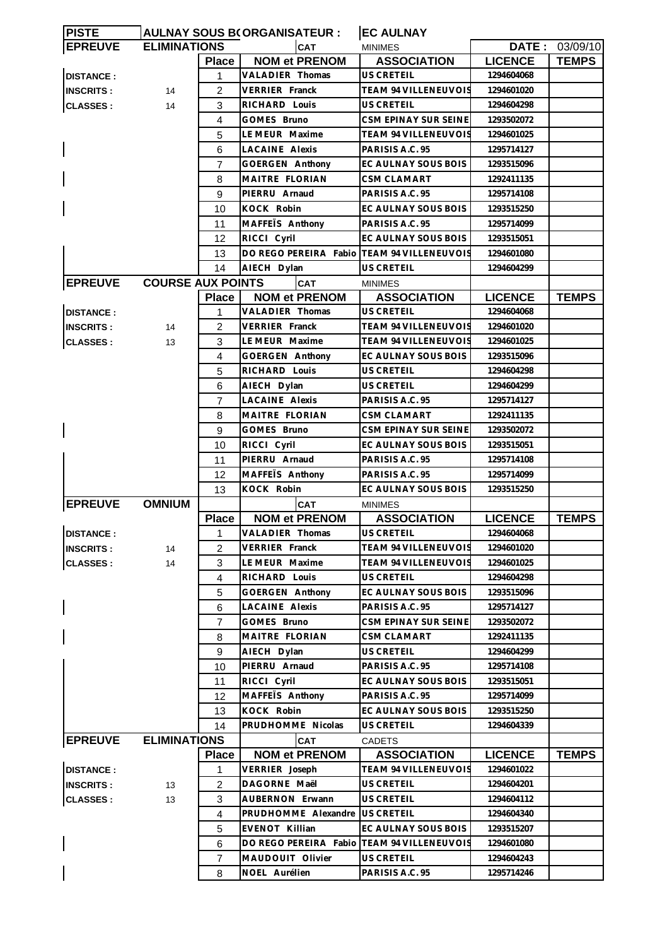| <b>PISTE</b>     |                          |                | AULNAY SOUS B(ORGANISATEUR :               | <b>EC AULNAY</b>            |                |                |
|------------------|--------------------------|----------------|--------------------------------------------|-----------------------------|----------------|----------------|
| <b>EPREUVE</b>   | <b>ELIMINATIONS</b>      |                | <b>CAT</b>                                 | <b>MINIMES</b>              |                | DATE: 03/09/10 |
|                  |                          | <b>Place</b>   | <b>NOM et PRENOM</b>                       | <b>ASSOCIATION</b>          | <b>LICENCE</b> | <b>TEMPS</b>   |
| <b>DISTANCE:</b> |                          | 1              | <b>VALADIER Thomas</b>                     | US CRETEIL                  | 1294604068     |                |
| <b>INSCRITS:</b> | 14                       | 2              | <b>VERRIER Franck</b>                      | <b>TEAM 94 VILLENEUVOIS</b> | 1294601020     |                |
| <b>CLASSES:</b>  | 14                       | 3              | RICHARD Louis                              | US CRETEIL                  | 1294604298     |                |
|                  |                          | 4              | GOMES Bruno                                | CSM EPINAY SUR SEINE        | 1293502072     |                |
|                  |                          | 5              | LE MEUR Maxime                             | <b>TEAM 94 VILLENEUVOIS</b> | 1294601025     |                |
|                  |                          | 6              | <b>LACAINE Alexis</b>                      | PARISIS A.C. 95             | 1295714127     |                |
|                  |                          | 7              | GOERGEN Anthony                            | EC AULNAY SOUS BOIS         | 1293515096     |                |
|                  |                          | 8              | MAITRE FLORIAN                             | <b>CSM CLAMART</b>          | 1292411135     |                |
|                  |                          | 9              | PIERRU Arnaud                              | PARISIS A.C. 95             | 1295714108     |                |
|                  |                          |                |                                            |                             |                |                |
|                  |                          | 10             | KOCK Robin                                 | EC AULNAY SOUS BOIS         | 1293515250     |                |
|                  |                          | 11             | MAFFEIS Anthony                            | PARISIS A.C. 95             | 1295714099     |                |
|                  |                          | 12             | RICCI Cyril                                | EC AULNAY SOUS BOIS         | 1293515051     |                |
|                  |                          | 13             | DO REGO PEREIRA Fabio TEAM 94 VILLENEUVOIS |                             | 1294601080     |                |
|                  |                          | 14             | AIECH Dylan                                | <b>US CRETEIL</b>           | 1294604299     |                |
| <b>EPREUVE</b>   | <b>COURSE AUX POINTS</b> |                | <b>CAT</b>                                 | <b>MINIMES</b>              |                |                |
|                  |                          | <b>Place</b>   | <b>NOM et PRENOM</b>                       | <b>ASSOCIATION</b>          | <b>LICENCE</b> | <b>TEMPS</b>   |
| <b>DISTANCE:</b> |                          | 1              | <b>VALADIER Thomas</b>                     | <b>US CRETEIL</b>           | 1294604068     |                |
| <b>INSCRITS:</b> | 14                       | 2              | <b>VERRIER Franck</b>                      | TEAM 94 VILLENEUVOIS        | 1294601020     |                |
| <b>CLASSES:</b>  | 13                       | 3              | LE MEUR Maxime                             | TEAM 94 VILLENEUVOIS        | 1294601025     |                |
|                  |                          | 4              | GOERGEN Anthony                            | EC AULNAY SOUS BOIS         | 1293515096     |                |
|                  |                          | 5              | RICHARD Louis                              | US CRETEIL                  | 1294604298     |                |
|                  |                          | 6              | AIECH Dylan                                | US CRETEIL                  | 1294604299     |                |
|                  |                          | $\overline{7}$ | <b>LACAINE Alexis</b>                      | PARISIS A.C. 95             | 1295714127     |                |
|                  |                          | 8              | MAITRE FLORIAN                             | <b>CSM CLAMART</b>          | 1292411135     |                |
|                  |                          | 9              | GOMES Bruno                                | CSM EPINAY SUR SEINE        | 1293502072     |                |
|                  |                          | 10             | RICCI Cyril                                | EC AULNAY SOUS BOIS         | 1293515051     |                |
|                  |                          | 11             | PIERRU Arnaud                              | PARISIS A.C. 95             | 1295714108     |                |
|                  |                          | 12             | MAFFEIS Anthony                            | PARISIS A.C. 95             | 1295714099     |                |
|                  |                          | 13             | KOCK Robin                                 | EC AULNAY SOUS BOIS         | 1293515250     |                |
| <b>EPREUVE</b>   | <b>OMNIUM</b>            |                | <b>CAT</b>                                 | <b>MINIMES</b>              |                |                |
|                  |                          | <b>Place</b>   | <b>NOM et PRENOM</b>                       | <b>ASSOCIATION</b>          | <b>LICENCE</b> | <b>TEMPS</b>   |
| <b>DISTANCE:</b> |                          | 1              | VALADIER Thomas                            | US CRETEIL                  | 1294604068     |                |
| <b>INSCRITS:</b> | 14                       | 2              | VERRIER Franck                             | TEAM 94 VILLENEUVOIS        | 1294601020     |                |
| <b>CLASSES:</b>  | 14                       | 3              | LE MEUR Maxime                             | TEAM 94 VILLENEUVOIS        | 1294601025     |                |
|                  |                          | $\overline{4}$ | <b>RICHARD Louis</b>                       | US CRETEIL                  | 1294604298     |                |
|                  |                          | 5              | <b>GOERGEN Anthony</b>                     | EC AULNAY SOUS BOIS         | 1293515096     |                |
|                  |                          | 6              | <b>LACAINE Alexis</b>                      | PARISIS A.C. 95             | 1295714127     |                |
|                  |                          | 7              | GOMES Bruno                                | CSM EPINAY SUR SEINE        | 1293502072     |                |
|                  |                          | 8              | MAITRE FLORIAN                             | <b>CSM CLAMART</b>          | 1292411135     |                |
|                  |                          | 9              | AIECH Dylan                                | US CRETEIL                  | 1294604299     |                |
|                  |                          | 10             | PIERRU Arnaud                              | PARISIS A.C. 95             | 1295714108     |                |
|                  |                          | 11             | RICCI Cyril                                | EC AULNAY SOUS BOIS         | 1293515051     |                |
|                  |                          | 12             | MAFFETS Anthony                            | PARISIS A.C. 95             | 1295714099     |                |
|                  |                          | 13             | KOCK Robin                                 | EC AULNAY SOUS BOIS         | 1293515250     |                |
|                  |                          | 14             | PRUDHOMME Nicolas                          | <b>US CRETEIL</b>           | 1294604339     |                |
| <b>EPREUVE</b>   | <b>ELIMINATIONS</b>      |                | CAT                                        | <b>CADETS</b>               |                |                |
|                  |                          | <b>Place</b>   | <b>NOM et PRENOM</b>                       | <b>ASSOCIATION</b>          | <b>LICENCE</b> | <b>TEMPS</b>   |
| <b>DISTANCE:</b> |                          | 1              | VERRIER Joseph                             | TEAM 94 VILLENEUVOIS        | 1294601022     |                |
| <b>INSCRITS:</b> | 13                       | 2              | DAGORNE Maël                               | US CRETEIL                  | 1294604201     |                |
| <b>CLASSES:</b>  | 13                       | 3              | AUBERNON Erwann                            | US CRETEIL                  | 1294604112     |                |
|                  |                          | 4              | PRUDHOMME Alexandre                        | US CRETEIL                  | 1294604340     |                |
|                  |                          | 5              | EVENOT Killian                             | EC AULNAY SOUS BOIS         | 1293515207     |                |
|                  |                          | 6              | DO REGO PEREIRA Fabio                      | <b>TEAM 94 VILLENEUVOIS</b> | 1294601080     |                |
|                  |                          | $\overline{7}$ | MAUDOUIT Olivier                           | US CRETEIL                  | 1294604243     |                |
|                  |                          | 8              | NOEL Aurélien                              | PARISIS A.C. 95             | 1295714246     |                |
|                  |                          |                |                                            |                             |                |                |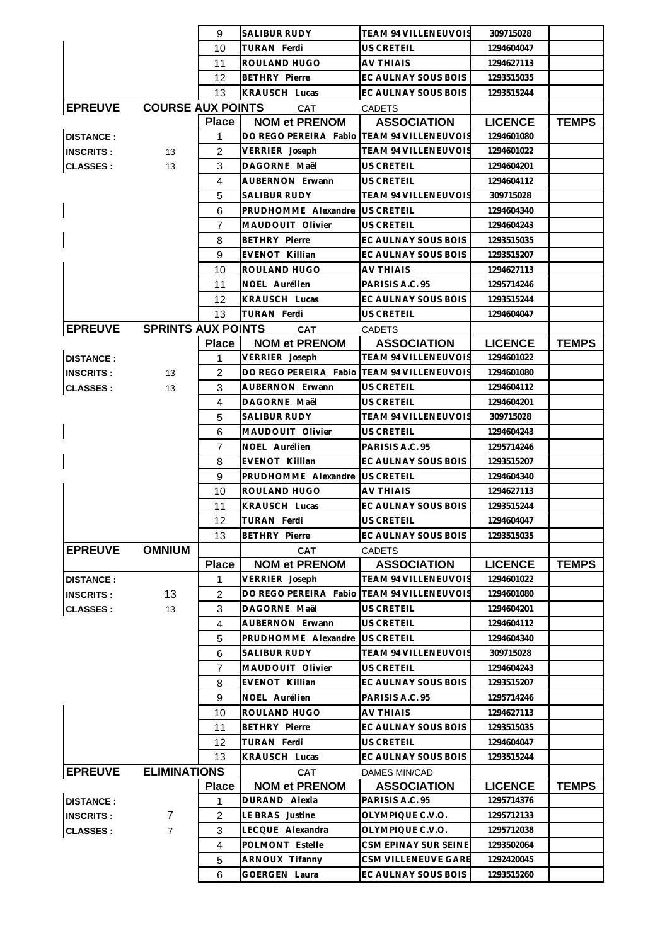|                  |                           | 9              | <b>SALIBUR RUDY</b>                        | <b>TEAM 94 VILLENEUVOIS</b> | 309715028      |              |
|------------------|---------------------------|----------------|--------------------------------------------|-----------------------------|----------------|--------------|
|                  |                           | 10             | <b>TURAN Ferdi</b>                         | US CRETEIL                  | 1294604047     |              |
|                  |                           | 11             | ROULAND HUGO                               | <b>AV THIAIS</b>            | 1294627113     |              |
|                  |                           | 12             | <b>BETHRY Pierre</b>                       | EC AULNAY SOUS BOIS         | 1293515035     |              |
|                  |                           | 13             | <b>KRAUSCH Lucas</b>                       | EC AULNAY SOUS BOIS         | 1293515244     |              |
| <b>EPREUVE</b>   | <b>COURSE AUX POINTS</b>  |                | <b>CAT</b>                                 | <b>CADETS</b>               |                |              |
|                  |                           | <b>Place</b>   | <b>NOM et PRENOM</b>                       | <b>ASSOCIATION</b>          | <b>LICENCE</b> | <b>TEMPS</b> |
| <b>DISTANCE:</b> |                           | 1              | DO REGO PEREIRA Fabio                      | <b>TEAM 94 VILLENEUVOIS</b> | 1294601080     |              |
| <b>INSCRITS:</b> | 13                        | 2              | VERRIER Joseph                             | TEAM 94 VILLENEUVOIS        | 1294601022     |              |
| <b>CLASSES:</b>  | 13                        | 3              | DAGORNE Maël                               | US CRETEIL                  | 1294604201     |              |
|                  |                           | 4              | <b>AUBERNON Erwann</b>                     | <b>US CRETEIL</b>           | 1294604112     |              |
|                  |                           | 5              | <b>SALIBUR RUDY</b>                        | TEAM 94 VILLENEUVOIS        | 309715028      |              |
|                  |                           | 6              | PRUDHOMME Alexandre                        | <b>US CRETEIL</b>           | 1294604340     |              |
|                  |                           | 7              | MAUDOUIT Olivier                           | <b>US CRETEIL</b>           | 1294604243     |              |
|                  |                           |                | <b>BETHRY Pierre</b>                       | EC AULNAY SOUS BOIS         |                |              |
|                  |                           | 8              |                                            | EC AULNAY SOUS BOIS         | 1293515035     |              |
|                  |                           | 9              | EVENOT Killian                             |                             | 1293515207     |              |
|                  |                           | 10             | ROULAND HUGO                               | AV THIAIS                   | 1294627113     |              |
|                  |                           | 11             | NOEL Aurélien                              | PARISIS A.C. 95             | 1295714246     |              |
|                  |                           | 12             | <b>KRAUSCH Lucas</b>                       | EC AULNAY SOUS BOIS         | 1293515244     |              |
|                  |                           | 13             | TURAN Ferdi                                | US CRETEIL                  | 1294604047     |              |
| <b>EPREUVE</b>   | <b>SPRINTS AUX POINTS</b> |                | <b>CAT</b>                                 | <b>CADETS</b>               |                |              |
|                  |                           | <b>Place</b>   | <b>NOM et PRENOM</b>                       | <b>ASSOCIATION</b>          | <b>LICENCE</b> | <b>TEMPS</b> |
| <b>DISTANCE:</b> |                           | $\mathbf{1}$   | VERRIER Joseph                             | <b>TEAM 94 VILLENEUVOIS</b> | 1294601022     |              |
| <b>INSCRITS:</b> | 13                        | 2              | DO REGO PEREIRA Fabio TEAM 94 VILLENEUVOIS |                             | 1294601080     |              |
| <b>CLASSES:</b>  | 13                        | 3              | <b>AUBERNON Erwann</b>                     | <b>US CRETEIL</b>           | 1294604112     |              |
|                  |                           | 4              | DAGORNE Maël                               | US CRETEIL                  | 1294604201     |              |
|                  |                           | 5              | SALIBUR RUDY                               | TEAM 94 VILLENEUVOIS        | 309715028      |              |
|                  |                           | 6              | MAUDOUIT Olivier                           | US CRETEIL                  | 1294604243     |              |
|                  |                           | 7              | NOEL Aurélien                              | PARISIS A.C. 95             | 1295714246     |              |
|                  |                           | 8              | EVENOT Killian                             | EC AULNAY SOUS BOIS         | 1293515207     |              |
|                  |                           | 9              | PRUDHOMME Alexandre                        | US CRETEIL                  | 1294604340     |              |
|                  |                           | 10             | ROULAND HUGO                               | <b>AV THIAIS</b>            | 1294627113     |              |
|                  |                           | 11             | <b>KRAUSCH Lucas</b>                       | EC AULNAY SOUS BOIS         | 1293515244     |              |
|                  |                           | 12             | <b>TURAN Ferdi</b>                         | US CRETEIL                  | 1294604047     |              |
|                  |                           | 13             | <b>BETHRY</b> Pierre                       | EC AULNAY SOUS BOIS         | 1293515035     |              |
| <b>EPREUVE</b>   | <b>OMNIUM</b>             |                | <b>CAT</b>                                 | <b>CADETS</b>               |                |              |
|                  |                           | <b>Place</b>   | <b>NOM et PRENOM</b>                       | <b>ASSOCIATION</b>          | <b>LICENCE</b> | <b>TEMPS</b> |
| <b>DISTANCE:</b> |                           | 1              | VERRIER Joseph                             | TEAM 94 VILLENEUVOIS        | 1294601022     |              |
| <b>INSCRITS:</b> | 13                        | $\overline{2}$ | DO REGO PEREIRA Fabio                      | <b>TEAM 94 VILLENEUVOIS</b> | 1294601080     |              |
| <b>CLASSES:</b>  | 13                        | 3              | DAGORNE Maël                               | US CRETEIL                  | 1294604201     |              |
|                  |                           | 4              | AUBERNON Erwann                            | US CRETEIL                  | 1294604112     |              |
|                  |                           | 5              | PRUDHOMME Alexandre                        | <b>US CRETEIL</b>           | 1294604340     |              |
|                  |                           | 6              | <b>SALIBUR RUDY</b>                        | <b>TEAM 94 VILLENEUVOIS</b> | 309715028      |              |
|                  |                           | $\overline{7}$ | MAUDOUIT Olivier                           | US CRETEIL                  | 1294604243     |              |
|                  |                           | 8              | EVENOT Killian                             | EC AULNAY SOUS BOIS         | 1293515207     |              |
|                  |                           | 9              | NOEL Aurélien                              | PARISIS A.C. 95             | 1295714246     |              |
|                  |                           | 10             | ROULAND HUGO                               | <b>AV THIAIS</b>            | 1294627113     |              |
|                  |                           | 11             | <b>BETHRY Pierre</b>                       | EC AULNAY SOUS BOIS         | 1293515035     |              |
|                  |                           | 12             | TURAN Ferdi                                | <b>US CRETEIL</b>           | 1294604047     |              |
|                  |                           | 13             | <b>KRAUSCH Lucas</b>                       | EC AULNAY SOUS BOIS         | 1293515244     |              |
| <b>EPREUVE</b>   | <b>ELIMINATIONS</b>       |                | <b>CAT</b>                                 | DAMES MIN/CAD               |                |              |
|                  |                           | <b>Place</b>   | <b>NOM et PRENOM</b>                       | <b>ASSOCIATION</b>          | <b>LICENCE</b> | <b>TEMPS</b> |
| <b>DISTANCE:</b> |                           | 1              | DURAND Alexia                              | PARISIS A.C. 95             | 1295714376     |              |
| <b>INSCRITS:</b> | 7                         | $\overline{2}$ | LE BRAS Justine                            | OLYMPIQUE C.V.O.            | 1295712133     |              |
| <b>CLASSES:</b>  | $\overline{7}$            | 3              | LECQUE Alexandra                           | OLYMPIQUE C.V.O.            | 1295712038     |              |
|                  |                           | 4              | POLMONT Estelle                            | CSM EPINAY SUR SEINE        | 1293502064     |              |
|                  |                           | 5              | ARNOUX Tifanny                             | CSM VILLENEUVE GARE         | 1292420045     |              |
|                  |                           | 6              | <b>GOERGEN Laura</b>                       | EC AULNAY SOUS BOIS         | 1293515260     |              |
|                  |                           |                |                                            |                             |                |              |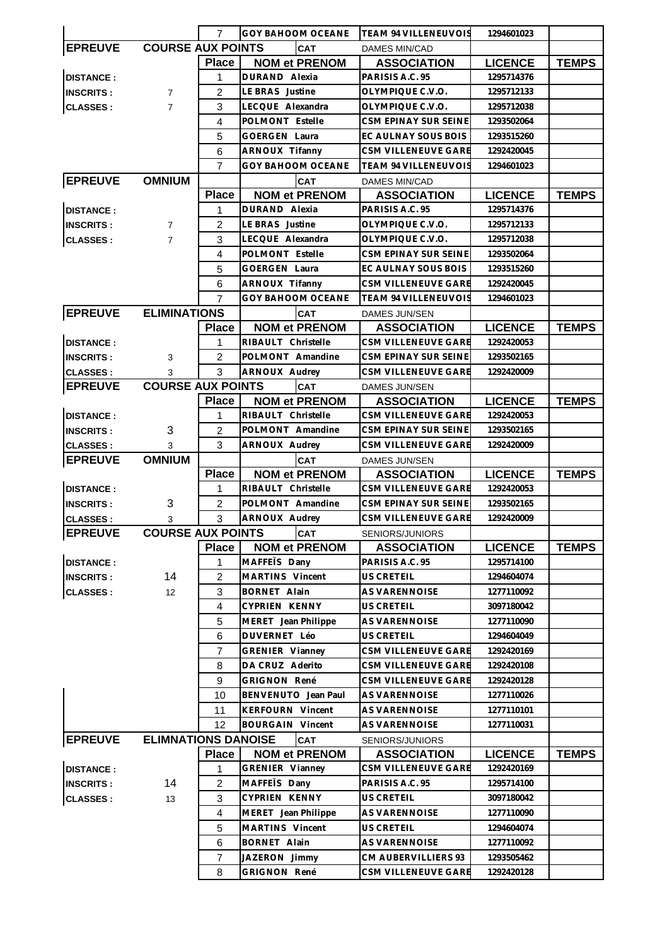|                                  |                            | 7              | <b>GOY BAHOOM OCEANE</b> | <b>TEAM 94 VILLENEUVOIS</b>           | 1294601023     |              |
|----------------------------------|----------------------------|----------------|--------------------------|---------------------------------------|----------------|--------------|
| <b>EPREUVE</b>                   | <b>COURSE AUX POINTS</b>   |                | <b>CAT</b>               | <b>DAMES MIN/CAD</b>                  |                |              |
|                                  |                            | <b>Place</b>   | <b>NOM et PRENOM</b>     | <b>ASSOCIATION</b>                    | <b>LICENCE</b> | <b>TEMPS</b> |
| <b>DISTANCE:</b>                 |                            | 1              | DURAND Alexia            | PARISIS A.C. 95                       | 1295714376     |              |
| <b>INSCRITS:</b>                 | $\overline{7}$             | $\overline{2}$ | LE BRAS Justine          | OLYMPIQUE C.V.O.                      | 1295712133     |              |
| <b>CLASSES:</b>                  | $\overline{7}$             | 3              | LECQUE Alexandra         | OLYMPIQUE C.V.O.                      | 1295712038     |              |
|                                  |                            | 4              | POLMONT Estelle          | CSM EPINAY SUR SEINE                  | 1293502064     |              |
|                                  |                            | 5              | <b>GOERGEN Laura</b>     | EC AULNAY SOUS BOIS                   | 1293515260     |              |
|                                  |                            | 6              | <b>ARNOUX Tifanny</b>    | <b>CSM VILLENEUVE GARE</b>            | 1292420045     |              |
|                                  |                            | $\overline{7}$ | <b>GOY BAHOOM OCEANE</b> | <b>TEAM 94 VILLENEUVOIS</b>           | 1294601023     |              |
|                                  | <b>OMNIUM</b>              |                |                          |                                       |                |              |
| <b>EPREUVE</b>                   |                            |                | <b>CAT</b>               | <b>DAMES MIN/CAD</b>                  |                |              |
|                                  |                            | <b>Place</b>   | <b>NOM et PRENOM</b>     | <b>ASSOCIATION</b>                    | <b>LICENCE</b> | <b>TEMPS</b> |
| <b>DISTANCE:</b>                 |                            | 1              | DURAND Alexia            | PARISIS A.C. 95                       | 1295714376     |              |
| <b>INSCRITS:</b>                 | $\overline{7}$             | $\overline{2}$ | LE BRAS Justine          | OLYMPIQUE C.V.O.                      | 1295712133     |              |
| <b>CLASSES:</b>                  | $\overline{7}$             | 3              | LECQUE Alexandra         | OLYMPIQUE C.V.O.                      | 1295712038     |              |
|                                  |                            | 4              | POLMONT Estelle          | <b>CSM EPINAY SUR SEINE</b>           | 1293502064     |              |
|                                  |                            | 5              | <b>GOERGEN Laura</b>     | EC AULNAY SOUS BOIS                   | 1293515260     |              |
|                                  |                            | 6              | ARNOUX Tifanny           | CSM VILLENEUVE GARE                   | 1292420045     |              |
|                                  |                            | 7              | GOY BAHOOM OCEANE        | <b>TEAM 94 VILLENEUVOIS</b>           | 1294601023     |              |
| <b>EPREUVE</b>                   | <b>ELIMINATIONS</b>        |                | <b>CAT</b>               | DAMES JUN/SEN                         |                |              |
|                                  |                            | <b>Place</b>   | <b>NOM et PRENOM</b>     | <b>ASSOCIATION</b>                    | <b>LICENCE</b> | <b>TEMPS</b> |
| <b>DISTANCE:</b>                 |                            | 1              | RIBAULT Christelle       | CSM VILLENEUVE GARE                   | 1292420053     |              |
| <b>INSCRITS:</b>                 | 3                          | 2              | POLMONT Amandine         | CSM EPINAY SUR SEINE                  | 1293502165     |              |
| <b>CLASSES:</b>                  | 3                          | 3              | <b>ARNOUX Audrey</b>     | CSM VILLENEUVE GARE                   | 1292420009     |              |
| <b>EPREUVE</b>                   | <b>COURSE AUX POINTS</b>   |                | <b>CAT</b>               | DAMES JUN/SEN                         |                |              |
|                                  |                            | <b>Place</b>   | <b>NOM et PRENOM</b>     | <b>ASSOCIATION</b>                    | <b>LICENCE</b> | <b>TEMPS</b> |
| <b>DISTANCE:</b>                 |                            | 1              | RIBAULT Christelle       | CSM VILLENEUVE GARE                   | 1292420053     |              |
| <b>INSCRITS:</b>                 | 3                          | 2              | POLMONT Amandine         | CSM EPINAY SUR SEINE                  | 1293502165     |              |
| <b>CLASSES:</b>                  | 3                          | 3              | ARNOUX Audrey            | CSM VILLENEUVE GARE                   | 1292420009     |              |
| <b>EPREUVE</b>                   | <b>OMNIUM</b>              |                | CAT                      | DAMES JUN/SEN                         |                |              |
|                                  |                            | <b>Place</b>   | <b>NOM et PRENOM</b>     | <b>ASSOCIATION</b>                    | <b>LICENCE</b> | <b>TEMPS</b> |
| <b>DISTANCE:</b>                 |                            | 1              | RIBAULT Christelle       | CSM VILLENEUVE GARE                   | 1292420053     |              |
| <b>INSCRITS:</b>                 | 3                          | $\overline{2}$ | POLMONT Amandine         | CSM EPINAY SUR SEINE                  | 1293502165     |              |
| <b>CLASSES:</b>                  | 3                          | 3              | ARNOUX Audrey            | <b>CSM VILLENEUVE GARE</b>            | 1292420009     |              |
| <b>EPREUVE COURSE AUX POINTS</b> |                            |                | <b>CAT</b>               |                                       |                |              |
|                                  |                            | <b>Place</b>   | <b>NOM et PRENOM</b>     | SENIORS/JUNIORS<br><b>ASSOCIATION</b> | <b>LICENCE</b> | <b>TEMPS</b> |
|                                  |                            |                | MAFFETS Dany             | PARISIS A.C. 95                       | 1295714100     |              |
| <b>DISTANCE:</b>                 |                            | 1              |                          |                                       | 1294604074     |              |
| <b>INSCRITS:</b>                 | 14                         | $\overline{2}$ | MARTINS Vincent          | US CRETEIL                            |                |              |
| <b>CLASSES:</b>                  | 12                         | 3              | BORNET Alain             | AS VARENNOISE                         | 1277110092     |              |
|                                  |                            | $\overline{4}$ | CYPRIEN KENNY            | <b>US CRETEIL</b>                     | 3097180042     |              |
|                                  |                            | 5              | MERET Jean Philippe      | AS VARENNOISE                         | 1277110090     |              |
|                                  |                            | 6              | DUVERNET Léo             | US CRETEIL                            | 1294604049     |              |
|                                  |                            | $\overline{7}$ | GRENIER Vianney          | CSM VILLENEUVE GARE                   | 1292420169     |              |
|                                  |                            | 8              | DA CRUZ Aderito          | CSM VILLENEUVE GARE                   | 1292420108     |              |
|                                  |                            | 9              | <b>GRIGNON René</b>      | CSM VILLENEUVE GARE                   | 1292420128     |              |
|                                  |                            | 10             | BENVENUTO Jean Paul      | AS VARENNOISE                         | 1277110026     |              |
|                                  |                            | 11             | <b>KERFOURN Vincent</b>  | AS VARENNOISE                         | 1277110101     |              |
|                                  |                            | 12             | <b>BOURGAIN Vincent</b>  | AS VARENNOISE                         | 1277110031     |              |
| <b>EPREUVE</b>                   | <b>ELIMNATIONS DANOISE</b> |                | CAT                      | SENIORS/JUNIORS                       |                |              |
|                                  |                            | <b>Place</b>   | <b>NOM et PRENOM</b>     | <b>ASSOCIATION</b>                    | <b>LICENCE</b> | <b>TEMPS</b> |
| <b>DISTANCE:</b>                 |                            | 1              | GRENIER Vianney          | CSM VILLENEUVE GARE                   | 1292420169     |              |
| <b>INSCRITS:</b>                 | 14                         | $\overline{c}$ | MAFFETS Dany             | PARISIS A.C. 95                       | 1295714100     |              |
| <b>CLASSES:</b>                  | 13                         | 3              | CYPRIEN KENNY            | US CRETEIL                            | 3097180042     |              |
|                                  |                            | 4              | MERET Jean Philippe      | AS VARENNOISE                         | 1277110090     |              |
|                                  |                            | 5              | MARTINS Vincent          | US CRETEIL                            | 1294604074     |              |
|                                  |                            | 6              | BORNET Alain             | AS VARENNOISE                         | 1277110092     |              |
|                                  |                            | 7              | JAZERON Jimmy            | CM AUBERVILLIERS 93                   | 1293505462     |              |
|                                  |                            | 8              | <b>GRIGNON René</b>      | CSM VILLENEUVE GARE                   | 1292420128     |              |
|                                  |                            |                |                          |                                       |                |              |